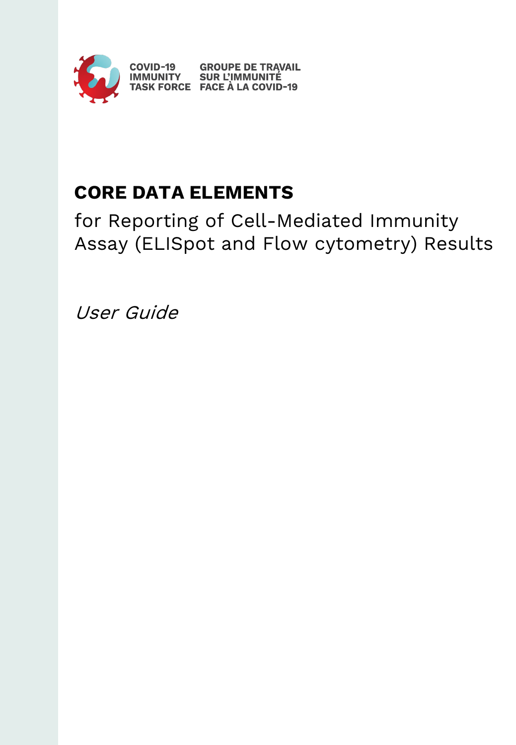

# **CORE DATA ELEMENTS**

for Reporting of Cell-Mediated Immunity Assay (ELISpot and Flow cytometry) Results

User Guide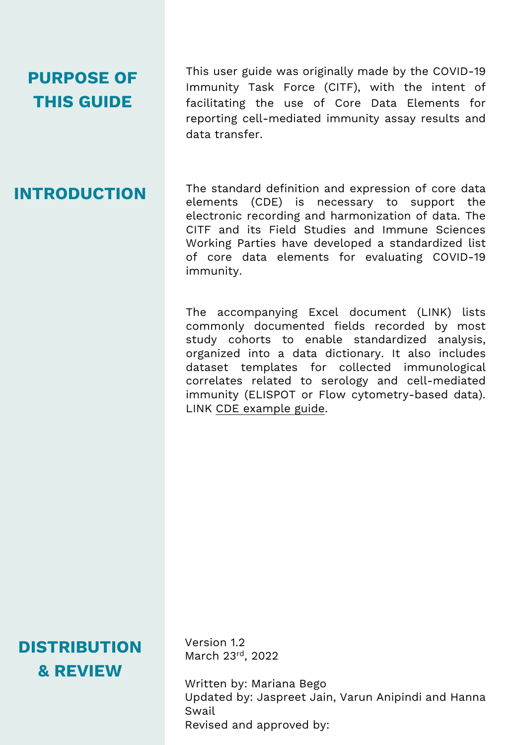# **PURPOSE OF THIS GUIDE**

This user guide was originally made by the COVID-19 Immunity Task Force (CITF), with the intent of facilitating the use of Core Data Elements for reporting cell-mediated immunity assay results and data transfer.

# **INTRODUCTION**

The standard definition and expression of core data elements (CDE) is necessary to support the electronic recording and harmonization of data. The CITF and its Field Studies and Immune Sciences Working Parties have developed a standardized list of core data elements for evaluating COVID-19 immunity.

The accompanying Excel document (LINK) lists commonly documented fields recorded by most study cohorts to enable standardized analysis, organized into a data dictionary. It also includes dataset templates for collected immunological correlates related to serology and cell-mediated immunity (ELISPOT or Flow cytometry-based data). LINK CDE [example](https://mcgill.sharepoint.com/:x:/r/sites/CITF_Group/Shared%20Documents/Core%20data%20elements/current%20CDEs/Labs%20templates/CITF_CDEs_Testing_April12.xlsx?d=wdb150a7baad047e5a2d0e18eb2e24c75&csf=1&web=1&e=doHXvM) guide.

**DISTRIBUTION & REVIEW**

Version 1.2 March 23rd, 2022

Written by: Mariana Bego Updated by: Jaspreet Jain, Varun Anipindi and Hanna Swail Revised and approved by: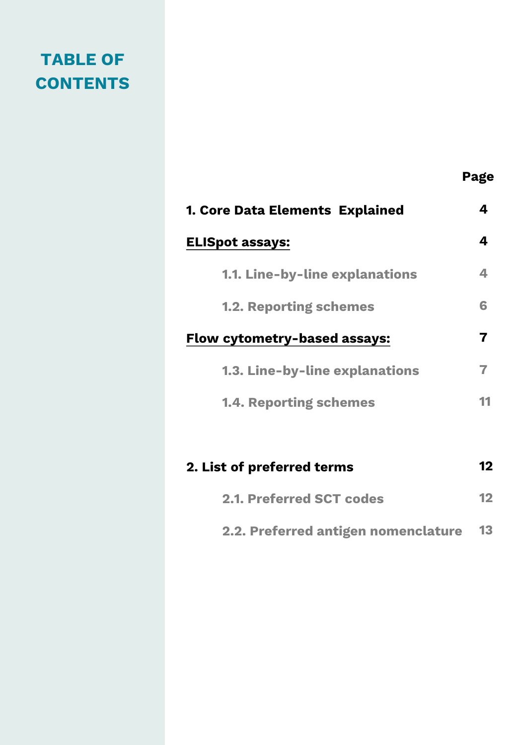# **TABLE OF CONTENTS**

|                                       | Page                    |
|---------------------------------------|-------------------------|
| 1. Core Data Elements Explained       | 4                       |
| <b>ELISpot assays:</b>                | 4                       |
| <b>1.1. Line-by-line explanations</b> | 4                       |
| <b>1.2. Reporting schemes</b>         | 6                       |
| <b>Flow cytometry-based assays:</b>   | $\overline{\mathbf{z}}$ |
| <b>1.3. Line-by-line explanations</b> | 7                       |
| <b>1.4. Reporting schemes</b>         | 11                      |
|                                       |                         |
| 2. List of preferred terms            | 12                      |

| 2.2. Preferred antigen nomenclature | 13 |
|-------------------------------------|----|
|-------------------------------------|----|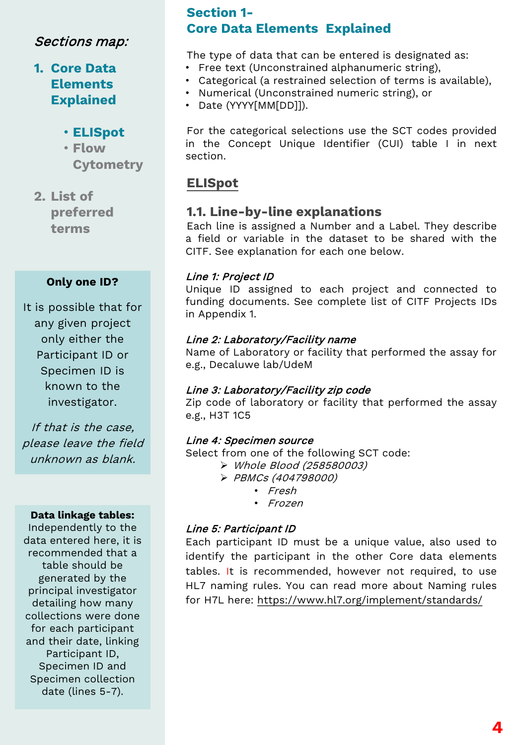## **1. Core Data Elements Explained**

### • **ELISpot**

- **Flow Cytometry**
- **2. List of preferred terms**

#### **Only one ID?**

It is possible that for any given project only either the Participant ID or Specimen ID is known to the investigator.

If that is the case, please leave the field unknown as blank.

#### **Data linkage tables:**

Independently to the data entered here, it is recommended that a table should be generated by the principal investigator detailing how many collections were done for each participant and their date, linking Participant ID, Specimen ID and Specimen collection date (lines 5-7).

### **Section 1- Core Data Elements Explained**

The type of data that can be entered is designated as:

- Free text (Unconstrained alphanumeric string),
- Categorical (a restrained selection of terms is available),
- Numerical (Unconstrained numeric string), or
- Date (YYYY[MM[DD]]).

For the categorical selections use the SCT codes provided in the Concept Unique Identifier (CUI) table I in next section.

### **ELISpot**

### **1.1. Line-by-line explanations**

Each line is assigned a Number and a Label. They describe a field or variable in the dataset to be shared with the CITF. See explanation for each one below.

#### Line 1: Project ID

Unique ID assigned to each project and connected to funding documents. See complete list of CITF Projects IDs in Appendix 1.

#### Line 2: Laboratory/Facility name

Name of Laboratory or facility that performed the assay for e.g., Decaluwe lab/UdeM

#### Line 3: Laboratory/Facility zip code

Zip code of laboratory or facility that performed the assay e.g., H3T 1C5

#### Line 4: Specimen source

Select from one of the following SCT code:

- Whole Blood (258580003)
- PBMCs (404798000)
	- Fresh
	- Frozen

#### Line 5: Participant ID

Each participant ID must be a unique value, also used to identify the participant in the other Core data elements tables. It is recommended, however not required, to use HL7 naming rules. You can read more about Naming rules for H7L here: <https://www.hl7.org/implement/standards/>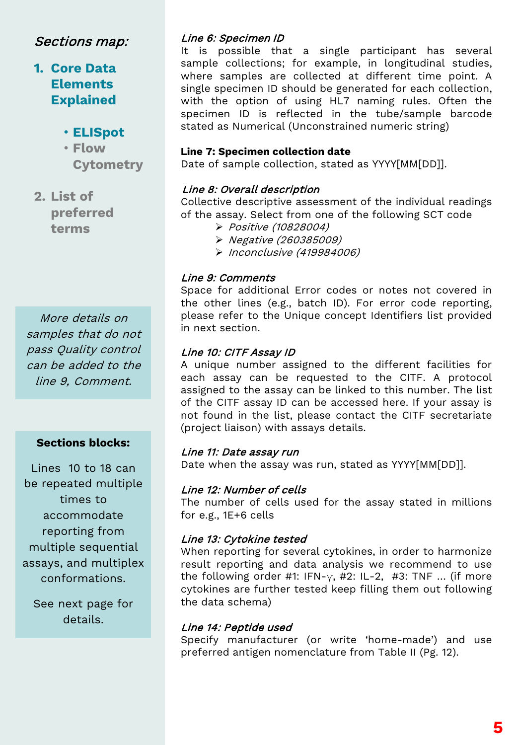# **1. Core Data Elements Explained**

- **ELISpot**
- **Flow Cytometry**

**2. List of preferred terms**

More details on samples that do not pass Quality control can be added to the line 9, Comment.

#### **Sections blocks:**

Lines 10 to 18 can be repeated multiple times to accommodate reporting from multiple sequential assays, and multiplex conformations.

See next page for details.

#### Line 6: Specimen ID

It is possible that a single participant has several sample collections; for example, in longitudinal studies, where samples are collected at different time point. A single specimen ID should be generated for each collection, with the option of using HL7 naming rules. Often the specimen ID is reflected in the tube/sample barcode stated as Numerical (Unconstrained numeric string)

#### **Line 7: Specimen collection date**

Date of sample collection, stated as YYYY[MM[DD]].

#### Line 8: Overall description

Collective descriptive assessment of the individual readings of the assay. Select from one of the following SCT code

- Positive (10828004)
- Negative (260385009)
- $\triangleright$  Inconclusive (419984006)

#### Line 9: Comments

Space for additional Error codes or notes not covered in the other lines (e.g., batch ID). For error code reporting, please refer to the Unique concept Identifiers list provided in next section.

#### Line 10: CITF Assay ID

A unique number assigned to the different facilities for each assay can be requested to the CITF. A protocol assigned to the assay can be linked to this number. The list of the CITF assay ID can be accessed here. If your assay is not found in the list, please contact the CITF secretariate (project liaison) with assays details.

#### Line 11: Date assay run

Date when the assay was run, stated as YYYY[MM[DD]].

#### Line 12: Number of cells

The number of cells used for the assay stated in millions for e.g., 1E+6 cells

#### Line 13: Cytokine tested

When reporting for several cytokines, in order to harmonize result reporting and data analysis we recommend to use the following order #1: IFN- $\gamma$ , #2: IL-2, #3: TNF ... (if more cytokines are further tested keep filling them out following the data schema)

#### Line 14: Peptide used

Specify manufacturer (or write 'home-made') and use preferred antigen nomenclature from Table II (Pg. 12).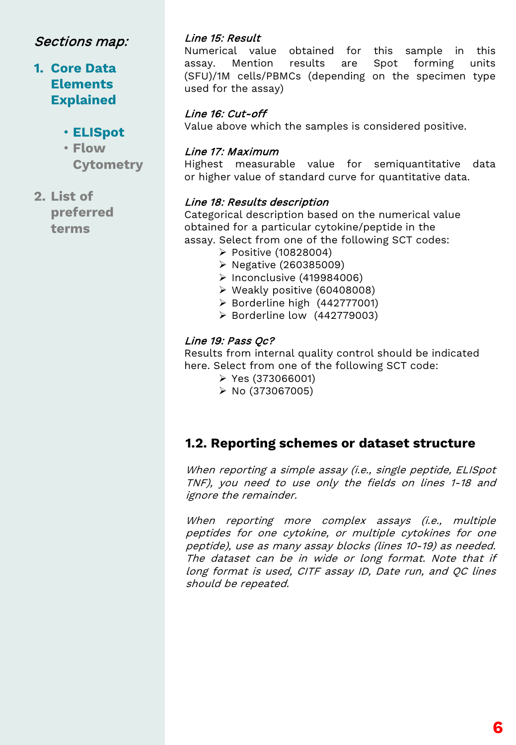### **1. Core Data Elements Explained**

### • **ELISpot**

- **Flow Cytometry**
- **2. List of preferred terms**

#### Line 15: Result

Numerical value obtained for this sample in this assay. Mention results are Spot forming units (SFU)/1M cells/PBMCs (depending on the specimen type used for the assay)

#### Line 16: Cut-off

Value above which the samples is considered positive.

#### Line 17: Maximum

Highest measurable value for semiquantitative data or higher value of standard curve for quantitative data.

#### Line 18: Results description

Categorical description based on the numerical value obtained for a particular cytokine/peptide in the assay. Select from one of the following SCT codes:

- Positive (10828004)
- Negative (260385009)
- $\triangleright$  Inconclusive (419984006)
- Weakly positive (60408008)
- $\triangleright$  Borderline high (442777001)
- $\triangleright$  Borderline low (442779003)

#### Line 19: Pass Qc?

Results from internal quality control should be indicated here. Select from one of the following SCT code:

- Yes (373066001)
- $\triangleright$  No (373067005)

### **1.2. Reporting schemes or dataset structure**

When reporting <sup>a</sup> simple assay (i.e., single peptide, ELISpot TNF), you need to use only the fields on lines 1-18 and ignore the remainder.

When reporting more complex assays (i.e., multiple peptides for one cytokine, or multiple cytokines for one peptide), use as many assay blocks (lines 10-19) as needed. The dataset can be in wide or long format. Note that if long format is used, CITF assay ID, Date run, and QC lines should be repeated.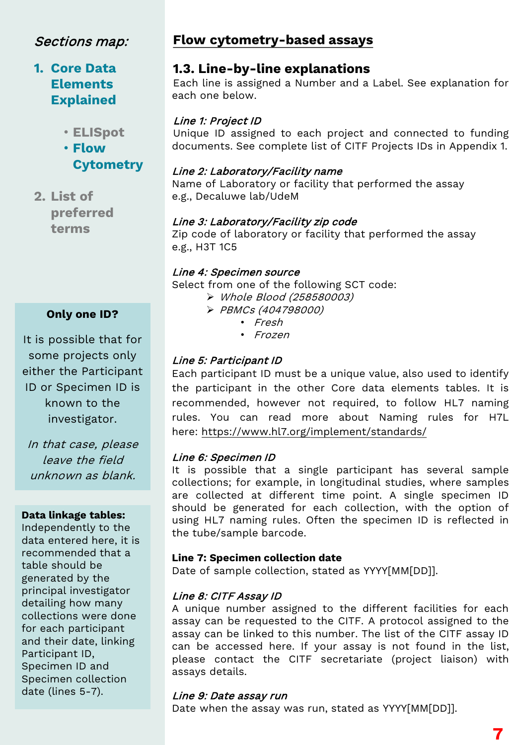# **1. Core Data Elements Explained**

• **ELISpot**

• **Flow Cytometry**

**2. List of preferred terms**

### **Only one ID?**

It is possible that for some projects only either the Participant ID or Specimen ID is known to the investigator.

In that case, please leave the field unknown as blank.

#### **Data linkage tables:**

Independently to the data entered here, it is recommended that a table should be generated by the principal investigator detailing how many collections were done for each participant and their date, linking Participant ID, Specimen ID and Specimen collection date (lines 5-7).

### **Flow cytometry-based assays**

### **1.3. Line-by-line explanations**

Each line is assigned a Number and a Label. See explanation for each one below.

#### Line 1: Project ID

Unique ID assigned to each project and connected to funding documents. See complete list of CITF Projects IDs in Appendix 1.

#### Line 2: Laboratory/Facility name

Name of Laboratory or facility that performed the assay e.g., Decaluwe lab/UdeM

#### Line 3: Laboratory/Facility zip code

Zip code of laboratory or facility that performed the assay e.g., H3T 1C5

#### Line 4: Specimen source

Select from one of the following SCT code:

- Whole Blood (258580003)
- PBMCs (404798000)
	- Fresh
	- Frozen

### Line 5: Participant ID

Each participant ID must be a unique value, also used to identify the participant in the other Core data elements tables. It is recommended, however not required, to follow HL7 naming rules. You can read more about Naming rules for H7L here: <https://www.hl7.org/implement/standards/>

#### Line 6: Specimen ID

It is possible that a single participant has several sample collections; for example, in longitudinal studies, where samples are collected at different time point. A single specimen ID should be generated for each collection, with the option of using HL7 naming rules. Often the specimen ID is reflected in the tube/sample barcode.

#### **Line 7: Specimen collection date**

Date of sample collection, stated as YYYY[MM[DD]].

#### Line 8: CITF Assay ID

A unique number assigned to the different facilities for each assay can be requested to the CITF. A protocol assigned to the assay can be linked to this number. The list of the CITF assay ID can be accessed here. If your assay is not found in the list, please contact the CITF secretariate (project liaison) with assays details.

#### Line 9: Date assay run

Date when the assay was run, stated as YYYY[MM[DD]].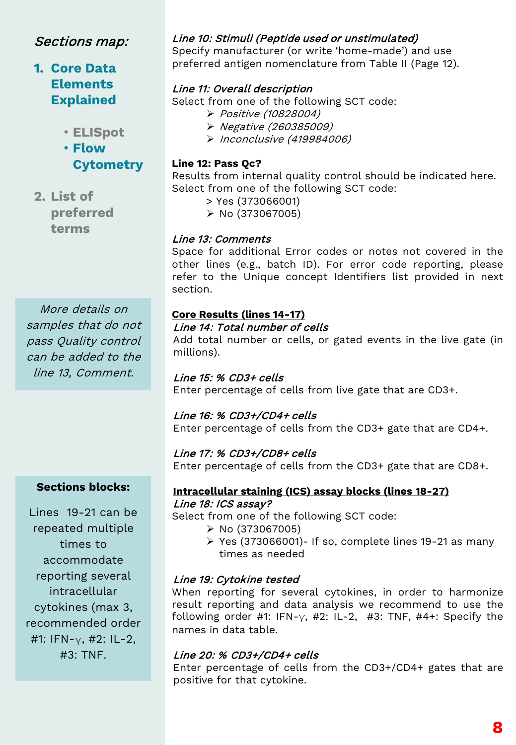# **1. Core Data Elements Explained**

• **ELISpot**

• **Flow Cytometry**

**2. List of preferred terms**

More details on samples that do not pass Quality control can be added to the line 13, Comment.

### **Sections blocks:**

Lines 19-21 can be repeated multiple times to accommodate reporting several intracellular cytokines (max 3, recommended order #1: IFN- $\vee$ , #2: IL-2, #3: TNF.

#### Line 10: Stimuli (Peptide used or unstimulated)

Specify manufacturer (or write 'home-made') and use preferred antigen nomenclature from Table II (Page 12).

#### Line 11: Overall description

Select from one of the following SCT code:

- Positive (10828004)
- Negative (260385009)
- Inconclusive (419984006)

#### **Line 12: Pass Qc?**

Results from internal quality control should be indicated here. Select from one of the following SCT code:

- > Yes (373066001)
- $\triangleright$  No (373067005)

#### Line 13: Comments

Space for additional Error codes or notes not covered in the other lines (e.g., batch ID). For error code reporting, please refer to the Unique concept Identifiers list provided in next section.

#### **Core Results (lines 14-17)**

#### Line 14: Total number of cells

Add total number or cells, or gated events in the live gate (in millions).

#### Line 15: % CD3+ cells

Enter percentage of cells from live gate that are CD3+.

#### Line 16: % CD3+/CD4+ cells

Enter percentage of cells from the CD3+ gate that are CD4+.

#### Line 17: % CD3+/CD8+ cells

Enter percentage of cells from the CD3+ gate that are CD8+.

#### **Intracellular staining (ICS) assay blocks (lines 18-27)** Line 18: ICS assay?

Select from one of the following SCT code:

- $\triangleright$  No (373067005)
- $\triangleright$  Yes (373066001)- If so, complete lines 19-21 as many times as needed

#### Line 19: Cytokine tested

When reporting for several cytokines, in order to harmonize result reporting and data analysis we recommend to use the following order #1: IFN- $\gamma$ , #2: IL-2, #3: TNF, #4+: Specify the names in data table.

#### Line 20: % CD3+/CD4+ cells

Enter percentage of cells from the CD3+/CD4+ gates that are positive for that cytokine.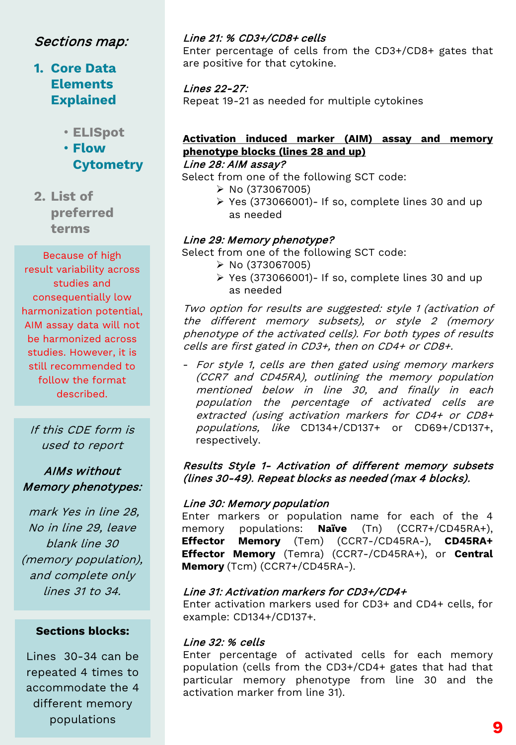# **1. Core Data Elements Explained**

• **ELISpot**

• **Flow Cytometry**

**2. List of preferred terms**

Because of high result variability across studies and consequentially low harmonization potential, AIM assay data will not be harmonized across studies. However, it is still recommended to follow the format described.

If this CDE form is used to report

### AIMs without Memory phenotypes:

mark Yes in line 28, No in line 29, leave blank line 30 (memory population), and complete only lines 31 to 34.

#### **Sections blocks:**

Lines 30-34 can be repeated 4 times to accommodate the 4 different memory populations

#### Line 21: % CD3+/CD8+ cells

Enter percentage of cells from the CD3+/CD8+ gates that are positive for that cytokine.

Lines 22-27: Repeat 19-21 as needed for multiple cytokines

# **Activation induced marker (AIM) assay and memory phenotype blocks (lines 28 and up)**

#### Line 28: AIM assay?

Select from one of the following SCT code:

- $\triangleright$  No (373067005)
- $\triangleright$  Yes (373066001)- If so, complete lines 30 and up as needed

#### Line 29: Memory phenotype?

Select from one of the following SCT code:

- $\triangleright$  No (373067005)
- $\triangleright$  Yes (373066001)- If so, complete lines 30 and up as needed

Two option for results are suggested: style <sup>1</sup> (activation of the different memory subsets), or style <sup>2</sup> (memory phenotype of the activated cells). For both types of results cells are first gated in CD3+, then on CD4+ or CD8+.

- For style 1, cells are then gated using memory markers (CCR7 and CD45RA), outlining the memory population mentioned below in line 30, and finally in each population the percentage of activated cells are extracted (using activation markers for CD4+ or CD8+ populations, like CD134+/CD137+ or CD69+/CD137+, respectively.

#### Results Style 1- Activation of different memory subsets (lines 30-49). Repeat blocks as needed (max <sup>4</sup> blocks).

#### Line 30: Memory population

Enter markers or population name for each of the 4 memory populations: **Naïve** (Tn) (CCR7+/CD45RA+), **Effector Memory** (Tem) (CCR7-/CD45RA-), **CD45RA+ Effector Memory** (Temra) (CCR7-/CD45RA+), or **Central Memory** (Tcm) (CCR7+/CD45RA-).

#### Line 31: Activation markers for CD3+/CD4+

Enter activation markers used for CD3+ and CD4+ cells, for example: CD134+/CD137+.

#### Line 32: % cells

Enter percentage of activated cells for each memory population (cells from the CD3+/CD4+ gates that had that particular memory phenotype from line 30 and the activation marker from line 31).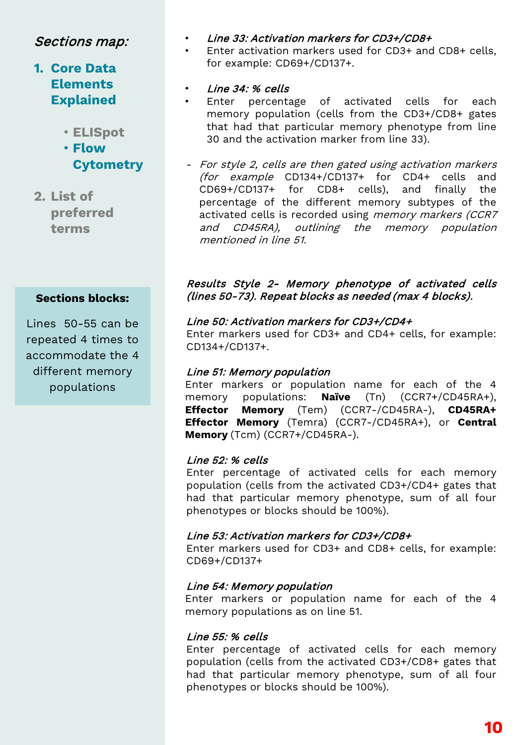# **1. Core Data Elements Explained**

- **ELISpot**
- **Flow Cytometry**
- **2. List of preferred terms**

#### **Sections blocks:**

Lines 50-55 can be repeated 4 times to accommodate the 4 different memory populations

- Line 33: Activation markers for CD3+/CD8+
- Enter activation markers used for CD3+ and CD8+ cells, for example: CD69+/CD137+.
- Line 34: % cells
- Enter percentage of activated cells for each memory population (cells from the CD3+/CD8+ gates that had that particular memory phenotype from line 30 and the activation marker from line 33).
- For style 2, cells are then gated using activation markers (for example CD134+/CD137+ for CD4+ cells and CD69+/CD137+ for CD8+ cells), and finally the percentage of the different memory subtypes of the activated cells is recorded using memory markers (CCR7 and CD45RA), outlining the memory population mentioned in line 51.

#### Results Style 2- Memory phenotype of activated cells (lines 50-73). Repeat blocks as needed (max <sup>4</sup> blocks).

#### Line 50: Activation markers for CD3+/CD4+

Enter markers used for CD3+ and CD4+ cells, for example: CD134+/CD137+.

#### Line 51: Memory population

Enter markers or population name for each of the 4<br>memory populations: **Naïve** (Tn) (CCR7+/CD45RA+). memory populations: **Naïve** (Tn) (CCR7+/CD45RA+), **Effector Memory** (Tem) (CCR7-/CD45RA-), **CD45RA+ Effector Memory** (Temra) (CCR7-/CD45RA+), or **Central Memory** (Tcm) (CCR7+/CD45RA-).

#### Line 52: % cells

Enter percentage of activated cells for each memory population (cells from the activated CD3+/CD4+ gates that had that particular memory phenotype, sum of all four phenotypes or blocks should be 100%).

#### Line 53: Activation markers for CD3+/CD8+

Enter markers used for CD3+ and CD8+ cells, for example: CD69+/CD137+

#### Line 54: Memory population

Enter markers or population name for each of the 4 memory populations as on line 51.

#### Line 55: % cells

Enter percentage of activated cells for each memory population (cells from the activated CD3+/CD8+ gates that had that particular memory phenotype, sum of all four phenotypes or blocks should be 100%).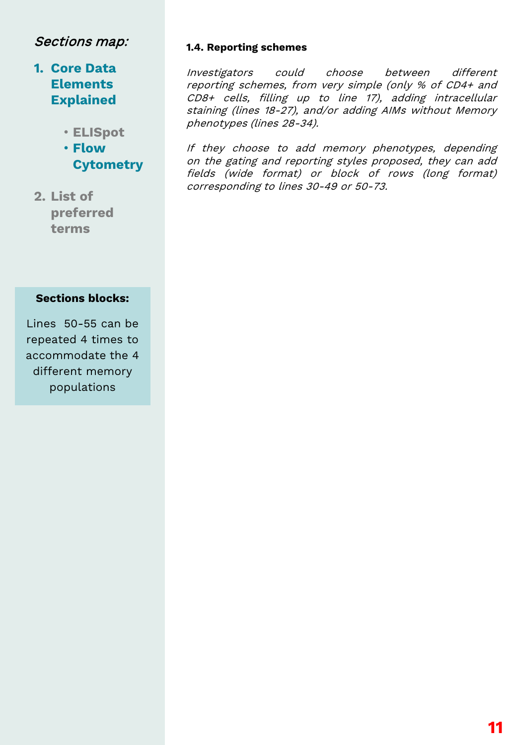# **1. Core Data Elements Explained**

- **ELISpot**
- **Flow Cytometry**
- **2. List of preferred terms**

#### **Sections blocks:**

Lines 50-55 can be repeated 4 times to accommodate the 4 different memory populations

#### **1.4. Reporting schemes**

Investigators could choose between different reporting schemes, from very simple (only % of CD4+ and CD8+ cells, filling up to line 17), adding intracellular staining (lines 18-27), and/or adding AIMs without Memory phenotypes (lines 28-34).

If they choose to add memory phenotypes, depending on the gating and reporting styles proposed, they can add fields (wide format) or block of rows (long format) corresponding to lines 30-49 or 50-73.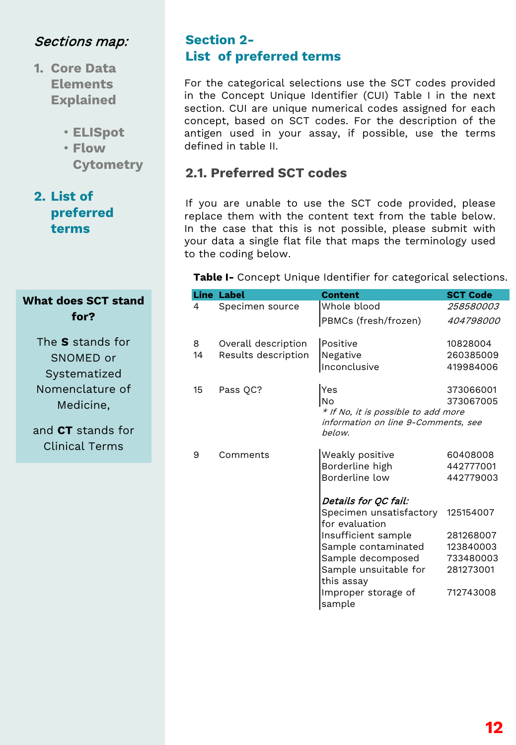- **1. Core Data Elements Explained**
	- **ELISpot**
	- **Flow Cytometry**

### **2. List of preferred terms**

### **What does SCT stand for?**

The **S** stands for SNOMED or Systematized Nomenclature of Medicine,

and **CT** stands for Clinical Terms

### **Section 2- List of preferred terms**

For the categorical selections use the SCT codes provided in the Concept Unique Identifier (CUI) Table I in the next section. CUI are unique numerical codes assigned for each concept, based on SCT codes. For the description of the antigen used in your assay, if possible, use the terms defined in table II.

# **2.1. Preferred SCT codes**

If you are unable to use the SCT code provided, please replace them with the content text from the table below. In the case that this is not possible, please submit with your data a single flat file that maps the terminology used to the coding below.

**Table I-** Concept Unique Identifier for categorical selections.

|                      | <b>Line Label</b>                          | <b>Content</b>                                                                                                                                                                       | <b>SCT Code</b>                                                            |  |
|----------------------|--------------------------------------------|--------------------------------------------------------------------------------------------------------------------------------------------------------------------------------------|----------------------------------------------------------------------------|--|
| 4                    | Specimen source                            | Whole blood                                                                                                                                                                          | 258580003                                                                  |  |
|                      |                                            | PBMCs (fresh/frozen)                                                                                                                                                                 | <i>404798000</i>                                                           |  |
| 8<br>14              | Overall description<br>Results description | Positive<br>Negative<br>Inconclusive                                                                                                                                                 | 10828004<br>260385009<br>419984006                                         |  |
| 15                   | Pass QC?                                   | Yes<br>373066001<br>No<br>373067005<br>* If No, it is possible to add more<br>information on line 9-Comments, see<br>below.                                                          |                                                                            |  |
| 9                    | Comments                                   | Weakly positive<br>Borderline high<br>Borderline low                                                                                                                                 | 60408008<br>442777001<br>442779003                                         |  |
| Details for QC fail: |                                            |                                                                                                                                                                                      |                                                                            |  |
|                      |                                            | Specimen unsatisfactory<br>for evaluation<br>Insufficient sample<br>Sample contaminated<br>Sample decomposed<br>Sample unsuitable for<br>this assay<br>Improper storage of<br>sample | 125154007<br>281268007<br>123840003<br>733480003<br>281273001<br>712743008 |  |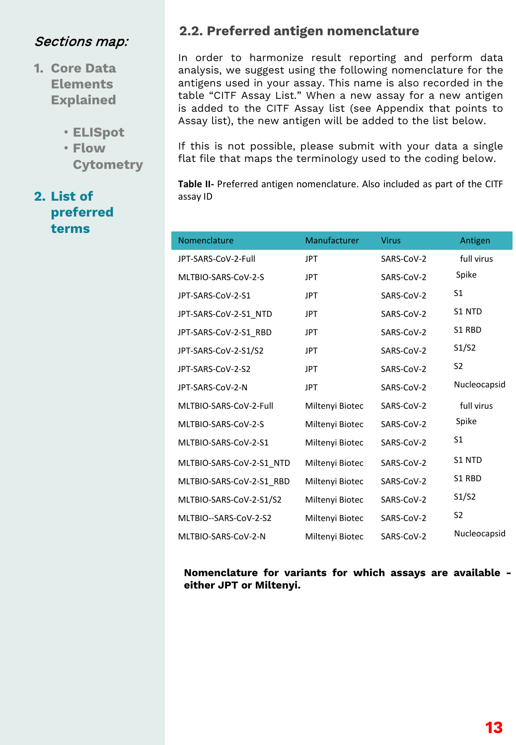- **1. Core Data Elements Explained**
	- **ELISpot**
	- **Flow Cytometry**

# **2. List of preferred terms**

### **2.2. Preferred antigen nomenclature**

In order to harmonize result reporting and perform data analysis, we suggest using the following nomenclature for the antigens used in your assay. This name is also recorded in the table "CITF Assay List." When a new assay for a new antigen is added to the CITF Assay list (see Appendix that points to Assay list), the new antigen will be added to the list below.

If this is not possible, please submit with your data a single flat file that maps the terminology used to the coding below.

**Table II-** Preferred antigen nomenclature. Also included as part of the CITF assay ID

| Nomenclature             | Manufacturer    | <b>Virus</b> | Antigen        |
|--------------------------|-----------------|--------------|----------------|
| JPT-SARS-CoV-2-Full      | <b>JPT</b>      | SARS-CoV-2   | full virus     |
| MLTBIO-SARS-CoV-2-S      | <b>JPT</b>      | SARS-CoV-2   | Spike          |
| JPT-SARS-CoV-2-S1        | <b>JPT</b>      | SARS-CoV-2   | S1             |
| JPT-SARS-CoV-2-S1_NTD    | <b>JPT</b>      | SARS-CoV-2   | S1 NTD         |
| JPT-SARS-CoV-2-S1 RBD    | <b>JPT</b>      | SARS-CoV-2   | S1 RBD         |
| JPT-SARS-CoV-2-S1/S2     | <b>JPT</b>      | SARS-CoV-2   | S1/S2          |
| JPT-SARS-CoV-2-S2        | <b>JPT</b>      | SARS-CoV-2   | S <sub>2</sub> |
| JPT-SARS-CoV-2-N         | <b>JPT</b>      | SARS-CoV-2   | Nucleocapsid   |
| MLTBIO-SARS-CoV-2-Full   | Miltenyi Biotec | SARS-CoV-2   | full virus     |
| MLTBIO-SARS-CoV-2-S      | Miltenyi Biotec | SARS-CoV-2   | Spike          |
| MLTBIO-SARS-CoV-2-S1     | Miltenyi Biotec | SARS-CoV-2   | S1             |
| MLTBIO-SARS-CoV-2-S1 NTD | Miltenyi Biotec | SARS-CoV-2   | S1 NTD         |
| MLTBIO-SARS-CoV-2-S1 RBD | Miltenyi Biotec | SARS-CoV-2   | S1 RBD         |
| MLTBIO-SARS-CoV-2-S1/S2  | Miltenyi Biotec | SARS-CoV-2   | S1/S2          |
| MLTBIO--SARS-CoV-2-S2    | Miltenyi Biotec | SARS-CoV-2   | S <sub>2</sub> |
| MLTBIO-SARS-CoV-2-N      | Miltenyi Biotec | SARS-CoV-2   | Nucleocapsid   |

**Nomenclature for variants for which assays are available either JPT or Miltenyi.**